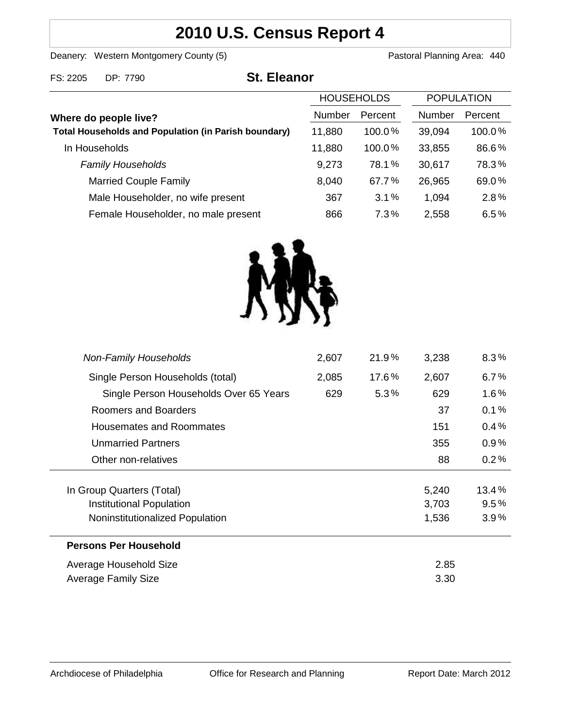# **2010 U.S. Census Report 4**

Deanery: Western Montgomery County (5) County (5) Pastoral Planning Area: 440

| FS: 2205<br>DP: 7790 | <b>St. Eleanor</b> |
|----------------------|--------------------|
|----------------------|--------------------|

| <b>HOUSEHOLDS</b>                                           |        | <b>POPULATION</b> |        |         |
|-------------------------------------------------------------|--------|-------------------|--------|---------|
| Where do people live?                                       | Number | Percent           | Number | Percent |
| <b>Total Households and Population (in Parish boundary)</b> | 11,880 | 100.0%            | 39,094 | 100.0%  |
| In Households                                               | 11,880 | 100.0%            | 33,855 | 86.6%   |
| <b>Family Households</b>                                    | 9,273  | 78.1%             | 30,617 | 78.3%   |
| <b>Married Couple Family</b>                                | 8,040  | 67.7%             | 26,965 | 69.0%   |
| Male Householder, no wife present                           | 367    | 3.1%              | 1,094  | 2.8%    |
| Female Householder, no male present                         | 866    | 7.3%              | 2,558  | 6.5%    |



| <b>Non-Family Households</b>           | 2,607 | 21.9% | 3,238 | $8.3\%$ |
|----------------------------------------|-------|-------|-------|---------|
| Single Person Households (total)       | 2,085 | 17.6% | 2,607 | $6.7\%$ |
| Single Person Households Over 65 Years | 629   | 5.3%  | 629   | $1.6\%$ |
| Roomers and Boarders                   |       |       | 37    | 0.1%    |
| Housemates and Roommates               |       |       | 151   | 0.4%    |
| <b>Unmarried Partners</b>              |       |       | 355   | $0.9\%$ |
| Other non-relatives                    |       |       | 88    | 0.2%    |
|                                        |       |       |       |         |
| In Group Quarters (Total)              |       |       | 5,240 | 13.4%   |
| Institutional Population               |       |       | 3,703 | 9.5%    |
| Noninstitutionalized Population        |       |       | 1,536 | 3.9%    |
| <b>Persons Per Household</b>           |       |       |       |         |
| Average Household Size                 | 2.85  |       |       |         |
| Average Family Size                    |       |       | 3.30  |         |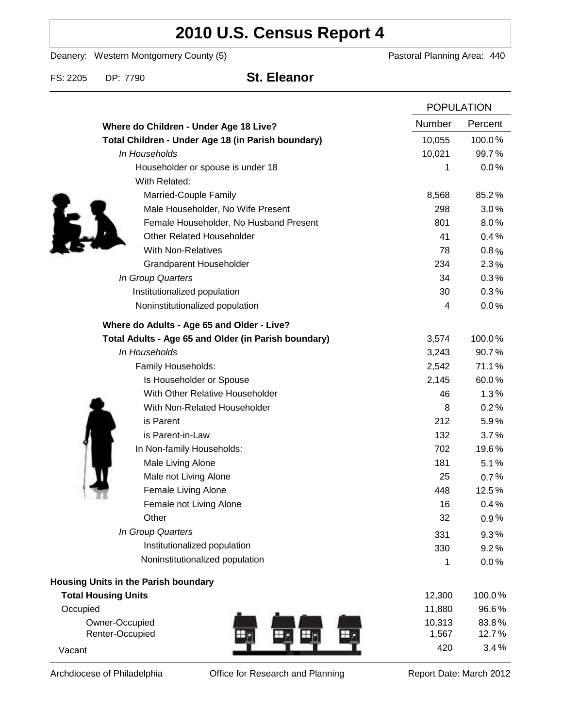# **2010 U.S. Census Report 4**

Deanery: Western Montgomery County (5) Deanery: Western Montgomery County (5)

FS: 2205 DP: 7790 **St. Eleanor**

|                                                      | <b>POPULATION</b> |         |
|------------------------------------------------------|-------------------|---------|
| Where do Children - Under Age 18 Live?               | <b>Number</b>     | Percent |
| Total Children - Under Age 18 (in Parish boundary)   | 10,055            | 100.0%  |
| In Households                                        | 10,021            | 99.7%   |
| Householder or spouse is under 18                    | 1                 | 0.0%    |
| With Related:                                        |                   |         |
| Married-Couple Family                                | 8,568             | 85.2%   |
| Male Householder, No Wife Present                    | 298               | 3.0%    |
| Female Householder, No Husband Present               | 801               | 8.0%    |
| <b>Other Related Householder</b>                     | 41                | 0.4%    |
| <b>With Non-Relatives</b>                            | 78                | 0.8%    |
| Grandparent Householder                              | 234               | 2.3%    |
| In Group Quarters                                    | 34                | 0.3%    |
| Institutionalized population                         | 30                | 0.3%    |
| Noninstitutionalized population                      | 4                 | 0.0%    |
| Where do Adults - Age 65 and Older - Live?           |                   |         |
| Total Adults - Age 65 and Older (in Parish boundary) | 3,574             | 100.0%  |
| In Households                                        | 3,243             | 90.7%   |
| Family Households:                                   | 2,542             | 71.1%   |
| Is Householder or Spouse                             | 2,145             | 60.0%   |
| With Other Relative Householder                      | 46                | 1.3%    |
| With Non-Related Householder                         | 8                 | 0.2%    |
| is Parent                                            | 212               | 5.9%    |
| is Parent-in-Law                                     | 132               | 3.7%    |
| In Non-family Households:                            | 702               | 19.6%   |
| Male Living Alone                                    | 181               | 5.1%    |
| Male not Living Alone                                | 25                | 0.7%    |
| Female Living Alone                                  | 448               | 12.5%   |
| Female not Living Alone                              | 16                | 0.4%    |
| Other                                                | 32                | 0.9%    |
| In Group Quarters                                    | 331               | 9.3%    |
| Institutionalized population                         | 330               | 9.2%    |
| Noninstitutionalized population                      | 1                 | 0.0%    |
| Housing Units in the Parish boundary                 |                   |         |
| <b>Total Housing Units</b>                           | 12,300            | 100.0%  |
| Occupied                                             | 11,880            | 96.6%   |
| Owner-Occupied                                       | 10,313            | 83.8%   |
| Renter-Occupied                                      | 1,567             | 12.7%   |
| Vacant                                               | 420               | 3.4%    |

Archdiocese of Philadelphia **Office for Research and Planning** Report Date: March 2012